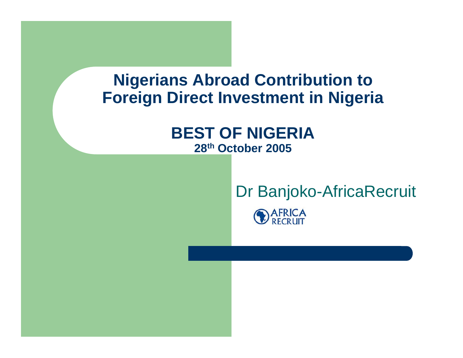#### **Nigerians Abroad Contribution to Foreign Direct Investment in Nigeria**

#### **BEST OF NIGERIA28th October 2005**

# Dr Banjoko-AfricaRecruit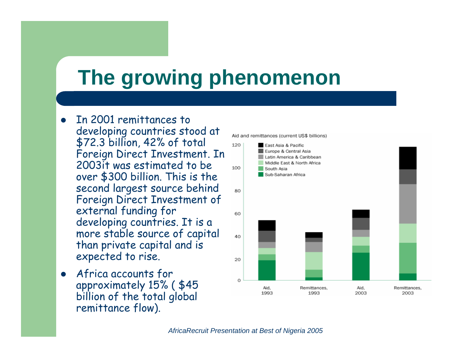# **The growing phenomenon**

- $\bullet$  In 2001 remittances to developing countries stood at \$72.3 billion, 42% of total Foreign Direct Investment. In 2003it was estimated to be over \$300 billion. This is the second largest source behind Foreign Direct Investment of external funding for developing countries. It is a more stable source of capital than private capital and is expected to rise.
- $\bullet$  Africa accounts for approximately 15% ( \$45 billion of the total global remittance flow).

Aid and remittances (current US\$ billions)

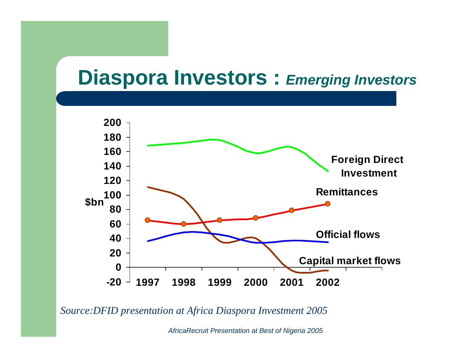#### **Diaspora Investors :** *Emerging Investors*



*Source:DFID presentation at Africa Diaspora Investment 2005*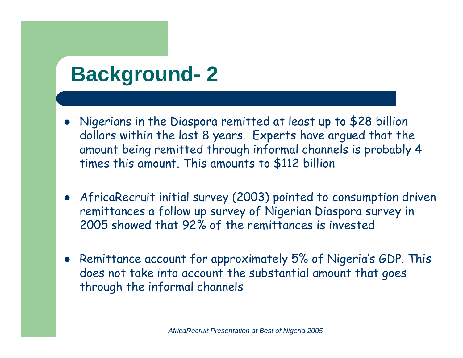# **Background- 2**

- Nigerians in the Diaspora remitted at least up to \$28 billion dollars within the last 8 years. Experts have argued that the amount being remitted through informal channels is probably 4 times this amount. This amounts to \$112 billion
- AfricaRecruit initial survey (2003) pointed to consumption driven remittances a follow up survey of Nigerian Diaspora survey in 2005 showed that 92% of the remittances is invested
- Remittance account for approximately 5% of Nigeria's GDP. This does not take into account the substantial amount that goes through the informal channels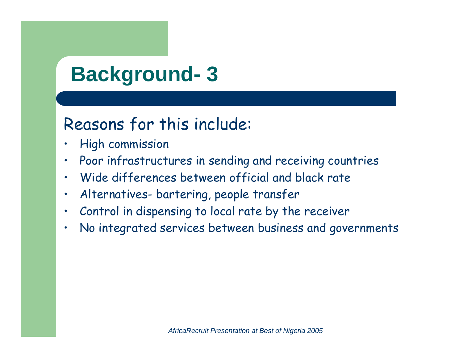# **Background- 3**

#### Reasons for this include:

- •High commission
- •Poor infrastructures in sending and receiving countries
- •Wide differences between official and black rate
- •Alternatives- bartering, people transfer
- •Control in dispensing to local rate by the receiver
- •No integrated services between business and governments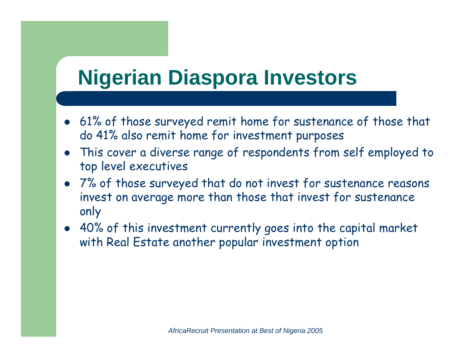# **Nigerian Diaspora Investors**

- 61% of those surveyed remit home for sustenance of those that do 41% also remit home for investment purposes
- This cover a diverse range of respondents from self employed to top level executives
- 7% of those surveyed that do not invest for sustenance reasons invest on average more than those that invest for sustenance only
- 40% of this investment currently goes into the capital market with Real Estate another popular investment option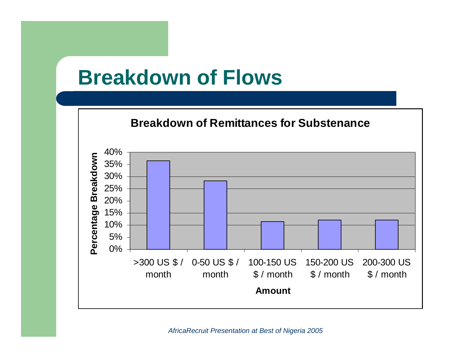#### **Breakdown of Flows**

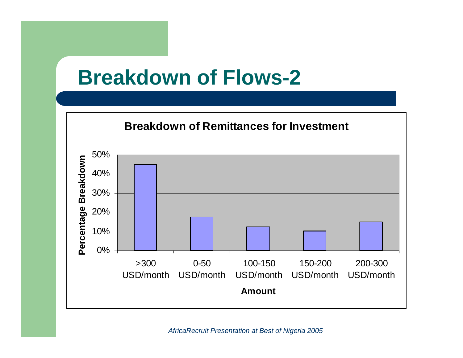#### **Breakdown of Flows-2**

#### **Breakdown of Remittances for Investment**

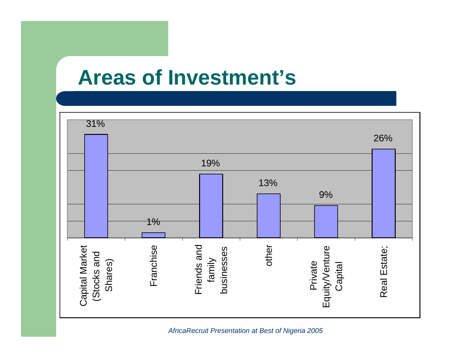#### **Areas of Investment's**

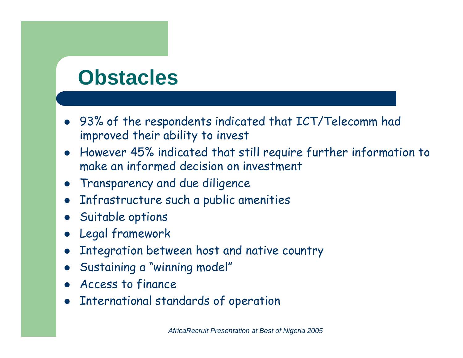# **Obstacles**

- 93% of the respondents indicated that ICT/Telecomm had improved their ability to invest
- However 45% indicated that still require further information to make an informed decision on investment
- **•** Transparency and due diligence
- $\bullet$ Infrastructure such a public amenities
- $\bullet$ Suitable options
- $\bullet$ Legal framework
- $\bullet$ Integration between host and native country
- $\bullet$ Sustaining a "winning model"
- $\bullet$ Access to finance
- $\bullet$ International standards of operation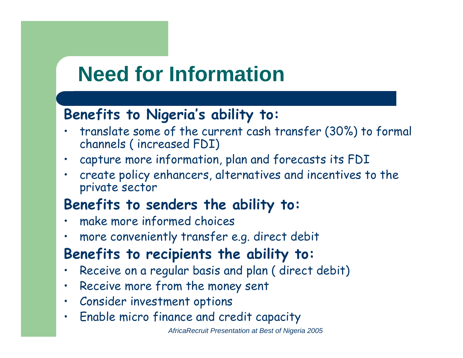### **Need for Information**

#### **Benefits to Nigeria's ability to:**

- • translate some of the current cash transfer (30%) to formal channels ( increased FDI)
- •capture more information, plan and forecasts its FDI
- • create policy enhancers, alternatives and incentives to the private sector

#### **Benefits to senders the ability to:**

- •make more informed choices
- •more conveniently transfer e.g. direct debit

#### **Benefits to recipients the ability to:**

- •Receive on a regular basis and plan ( direct debit)
- •Receive more from the money sent
- •Consider investment options
- •Enable micro finance and credit capacity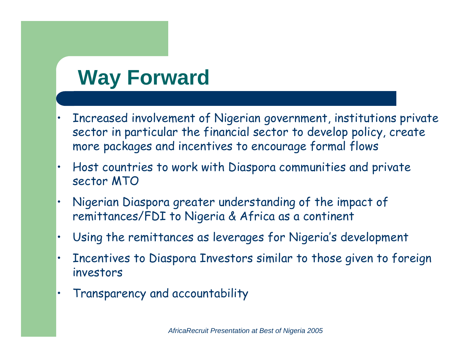# **Way Forward**

- • Increased involvement of Nigerian government, institutions private sector in particular the financial sector to develop policy, create more packages and incentives to encourage formal flows
- • Host countries to work with Diaspora communities and private sector MTO
- • Nigerian Diaspora greater understanding of the impact of remittances/FDI to Nigeria & Africa as a continent
- •Using the remittances as leverages for Nigeria's development
- • Incentives to Diaspora Investors similar to those given to foreign investors
- •Transparency and accountability